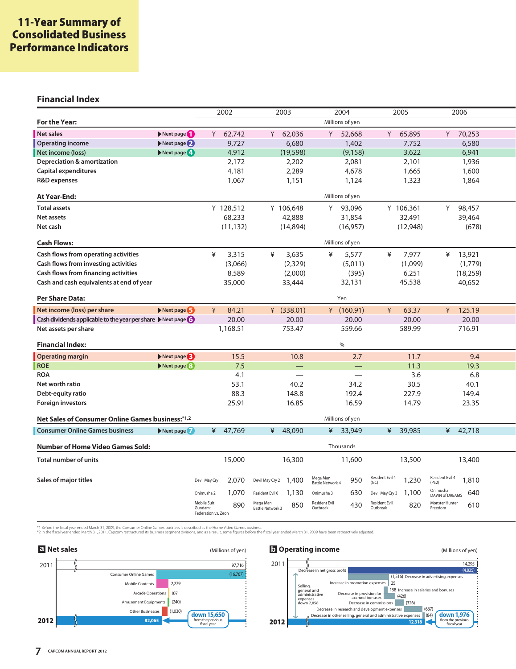# **11-Year Summary of Consolidated Business Performance Indicators**

# **Financial Index**

|                                                                                    |                                             | 2002                                                 | 2003                                       | 2004                                       | 2005                                    | 2006                              |  |
|------------------------------------------------------------------------------------|---------------------------------------------|------------------------------------------------------|--------------------------------------------|--------------------------------------------|-----------------------------------------|-----------------------------------|--|
| <b>For the Year:</b>                                                               |                                             |                                                      |                                            | Millions of yen                            |                                         |                                   |  |
| <b>Net sales</b>                                                                   | $\blacktriangleright$ Next page             | ¥<br>62,742                                          | ¥<br>62,036                                | 52,668<br>¥                                | ¥<br>65,895                             | ¥<br>70,253                       |  |
| <b>Operating income</b>                                                            | $\triangleright$ Next page $\bigcirc$       | 9.727                                                | 6.680                                      | 1,402                                      | 7,752                                   | 6,580                             |  |
| Net income (loss)                                                                  | Next page 4                                 | 4,912                                                | (19, 598)                                  | (9, 158)                                   | 3,622                                   | 6,941                             |  |
| <b>Depreciation &amp; amortization</b>                                             |                                             | 2,172                                                | 2,202                                      | 2,081                                      | 2,101                                   | 1,936                             |  |
| Capital expenditures                                                               |                                             | 4,181                                                | 2,289                                      | 4,678                                      | 1,665                                   | 1,600                             |  |
| <b>R&amp;D</b> expenses                                                            |                                             | 1,067                                                | 1,151                                      | 1,124                                      | 1,323                                   | 1,864                             |  |
| At Year-End:                                                                       |                                             |                                                      |                                            | Millions of yen                            |                                         |                                   |  |
| <b>Total assets</b>                                                                |                                             | ¥ 128,512                                            | ¥ 106,648                                  | 93,096<br>¥                                | ¥ 106,361                               | ¥<br>98,457                       |  |
| <b>Net assets</b>                                                                  |                                             | 68,233                                               | 42,888                                     | 31,854                                     | 32,491                                  | 39,464                            |  |
| Net cash                                                                           |                                             | (11, 132)                                            | (14, 894)                                  | (16, 957)                                  | (12, 948)                               | (678)                             |  |
| <b>Cash Flows:</b>                                                                 |                                             |                                                      |                                            | Millions of yen                            |                                         |                                   |  |
| Cash flows from operating activities                                               |                                             | ¥<br>3,315                                           | ¥<br>3,635                                 | ¥<br>5,577                                 | ¥<br>7,977                              | ¥<br>13,921                       |  |
| Cash flows from investing activities                                               |                                             | (3,066)                                              | (2,329)                                    | (5,011)                                    | (1,099)                                 | (1,779)                           |  |
| Cash flows from financing activities                                               |                                             | 8,589                                                | (2,000)                                    | (395)                                      | 6,251                                   | (18, 259)                         |  |
| Cash and cash equivalents at end of year                                           |                                             | 35,000                                               | 33,444                                     | 32,131                                     | 45,538                                  | 40,652                            |  |
|                                                                                    |                                             |                                                      |                                            |                                            |                                         |                                   |  |
| <b>Per Share Data:</b>                                                             |                                             |                                                      |                                            | Yen                                        |                                         |                                   |  |
| Net income (loss) per share                                                        | $\triangleright$ Next page $\triangleright$ | ¥<br>84.21                                           | ¥ $(338.01)$                               | ¥ $(160.91)$                               | ¥<br>63.37                              | 125.19<br>¥                       |  |
| Cash dividends applicable to the year per share $\triangleright$ Next page $\odot$ |                                             | 20.00                                                | 20.00                                      | 20.00                                      | 20.00                                   | 20.00                             |  |
| Net assets per share                                                               |                                             | 1,168.51                                             | 753.47                                     | 559.66                                     | 589.99                                  | 716.91                            |  |
| <b>Financial Index:</b>                                                            |                                             |                                                      |                                            | $\%$                                       |                                         |                                   |  |
| <b>Operating margin</b>                                                            | $\triangleright$ Next page                  | 15.5                                                 | 10.8                                       | 2.7                                        | 11.7                                    | 9.4                               |  |
| <b>ROE</b>                                                                         | Next page 8                                 | 7.5                                                  |                                            | ÷,                                         | 11.3                                    | 19.3                              |  |
| <b>ROA</b>                                                                         |                                             | 4.1                                                  |                                            |                                            | 3.6                                     | 6.8                               |  |
| Net worth ratio                                                                    |                                             | 53.1                                                 | 40.2                                       | 34.2                                       | 30.5                                    | 40.1                              |  |
| Debt-equity ratio                                                                  |                                             | 88.3                                                 | 148.8                                      | 192.4                                      | 227.9                                   | 149.4                             |  |
| <b>Foreign investors</b>                                                           |                                             | 25.91                                                | 16.85                                      | 16.59                                      | 14.79                                   | 23.35                             |  |
| Millions of yen<br>Net Sales of Consumer Online Games business:*1,2                |                                             |                                                      |                                            |                                            |                                         |                                   |  |
| <b>Consumer Online Games business</b>                                              | Next page                                   | ¥<br>47,769                                          | ¥<br>48,090                                | ¥<br>33,949                                | ¥<br>39,985                             | ¥<br>42,718                       |  |
| <b>Number of Home Video Games Sold:</b>                                            |                                             |                                                      |                                            | Thousands                                  |                                         |                                   |  |
| <b>Total number of units</b>                                                       |                                             | 15,000                                               | 16,300                                     | 11,600                                     | 13,500                                  | 13,400                            |  |
| Sales of major titles                                                              |                                             | 2.070<br>Devil May Cry                               | 1,400<br>Devil May Cry 2                   | Mega Man<br>950<br><b>Battle Network 4</b> | Resident Evil 4<br>1,230<br>(GC)        | Resident Evil 4<br>1,810<br>(PS2) |  |
|                                                                                    |                                             | 1,070<br>Onimusha 2                                  | 1,130<br>Resident Evil 0                   | 630<br>Onimusha 3                          | 1,100<br>Devil May Cry 3                | Onimusha<br>640<br>DAWN of DREAMS |  |
|                                                                                    |                                             | Mobile Suit<br>890<br>Gundam:<br>Federation vs. Zeon | Mega Man<br>850<br><b>Battle Network 3</b> | <b>Resident Evil</b><br>430<br>Outbreak    | <b>Resident Evil</b><br>820<br>Outbreak | Monster Hunter<br>610<br>Freedom  |  |

\*1 Before the fiscal year ended March 31, 2009, the Consumer Online Games business is described as the Home Video Games business.<br>\*2 In the fiscal year ended March 31, 2011, Capcom restructured its business asymement of wi



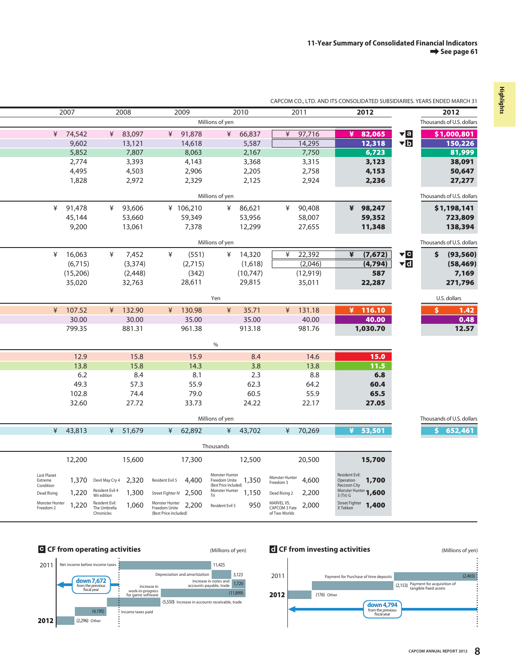| 2010<br>2007<br>2008<br>2009<br>Millions of yen                                                                                                                                                                                              | 2011<br>2012<br>2012<br>Thousands of U.S. dollars                    |  |  |  |  |  |  |  |
|----------------------------------------------------------------------------------------------------------------------------------------------------------------------------------------------------------------------------------------------|----------------------------------------------------------------------|--|--|--|--|--|--|--|
|                                                                                                                                                                                                                                              |                                                                      |  |  |  |  |  |  |  |
|                                                                                                                                                                                                                                              |                                                                      |  |  |  |  |  |  |  |
| ¥ 74,542<br>¥ 83,097<br>¥<br>91,878<br>¥<br>66,837<br>¥                                                                                                                                                                                      | $\nabla$ a<br>97,716<br>\$1,000,801<br>¥<br>82,065                   |  |  |  |  |  |  |  |
| 9,602<br>13,121<br>14,618<br>5,587                                                                                                                                                                                                           | $\nabla$ <sub>b</sub><br>14,295<br>12,318<br>150,226                 |  |  |  |  |  |  |  |
| 5,852<br>7,807<br>8,063<br>2,167                                                                                                                                                                                                             | 7,750<br>6,723<br>81,999                                             |  |  |  |  |  |  |  |
| 2,774<br>3,393<br>4,143<br>3,368                                                                                                                                                                                                             | 3,315<br>3,123<br>38,091                                             |  |  |  |  |  |  |  |
| 4,495<br>2,205<br>4,503<br>2,906                                                                                                                                                                                                             | 2,758<br>4,153<br>50,647                                             |  |  |  |  |  |  |  |
| 1,828<br>2,972<br>2,329<br>2,125                                                                                                                                                                                                             | 27,277<br>2,924<br>2,236                                             |  |  |  |  |  |  |  |
| Thousands of U.S. dollars<br>Millions of yen                                                                                                                                                                                                 |                                                                      |  |  |  |  |  |  |  |
| ¥<br>91,478<br>¥<br>93,606<br>¥ 106,210<br>¥<br>¥<br>86,621                                                                                                                                                                                  | 90,408<br>¥<br>98,247<br>\$1,198,141                                 |  |  |  |  |  |  |  |
| 53,660<br>53,956<br>45,144<br>59,349                                                                                                                                                                                                         | 58,007<br>59,352<br>723,809                                          |  |  |  |  |  |  |  |
| 9,200<br>7,378<br>12,299<br>13,061                                                                                                                                                                                                           | 27,655<br>11,348<br>138,394                                          |  |  |  |  |  |  |  |
| Thousands of U.S. dollars<br>Millions of yen                                                                                                                                                                                                 |                                                                      |  |  |  |  |  |  |  |
| ¥<br>16,063<br>¥<br>7,452<br>¥<br>(551)<br>¥<br>¥<br>14,320                                                                                                                                                                                  | (93, 560)<br>22,392<br>¥<br>(7, 672)<br>$\blacktriangledown$ C<br>\$ |  |  |  |  |  |  |  |
| (6, 715)<br>(3, 374)<br>(2,715)<br>(1,618)                                                                                                                                                                                                   | $\blacktriangledown$ d<br>(2,046)<br>(4,794)<br>(58, 469)            |  |  |  |  |  |  |  |
| (342)<br>(10, 747)<br>(15,206)<br>(2,448)                                                                                                                                                                                                    | (12, 919)<br>587<br>7,169                                            |  |  |  |  |  |  |  |
| 29,815<br>35,020<br>32,763<br>28,611                                                                                                                                                                                                         | 35,011<br>22,287<br>271,796                                          |  |  |  |  |  |  |  |
| U.S. dollars<br>Yen                                                                                                                                                                                                                          |                                                                      |  |  |  |  |  |  |  |
| 107.52<br>132.90<br>¥<br>¥<br>¥<br>¥<br>130.98<br>35.71<br>¥                                                                                                                                                                                 | ¥<br>131.18<br>116.10<br>\$<br>1.42                                  |  |  |  |  |  |  |  |
| 30.00<br>30.00<br>35.00<br>35.00                                                                                                                                                                                                             | 40.00<br>0.48<br>40.00                                               |  |  |  |  |  |  |  |
| 799.35<br>881.31<br>961.38<br>913.18                                                                                                                                                                                                         | 981.76<br>1,030.70<br>12.57                                          |  |  |  |  |  |  |  |
| $\%$                                                                                                                                                                                                                                         |                                                                      |  |  |  |  |  |  |  |
| 12.9<br>15.8<br>15.9<br>8.4                                                                                                                                                                                                                  | 14.6<br>15.0                                                         |  |  |  |  |  |  |  |
| 15.8<br>13.8<br>14.3<br>3.8                                                                                                                                                                                                                  | 11.5<br>13.8                                                         |  |  |  |  |  |  |  |
| 6.2<br>8.1<br>2.3<br>8.4                                                                                                                                                                                                                     | 8.8<br>6.8                                                           |  |  |  |  |  |  |  |
| 49.3<br>57.3<br>55.9<br>62.3                                                                                                                                                                                                                 | 64.2<br>60.4                                                         |  |  |  |  |  |  |  |
| 102.8<br>79.0<br>60.5<br>74.4                                                                                                                                                                                                                | 55.9<br>65.5                                                         |  |  |  |  |  |  |  |
| 27.72<br>32.60<br>33.73<br>24.22                                                                                                                                                                                                             | 22.17<br>27.05                                                       |  |  |  |  |  |  |  |
| Millions of yen                                                                                                                                                                                                                              | Thousands of U.S. dollars                                            |  |  |  |  |  |  |  |
| 62,892<br>¥<br>43,813<br>$\frac{1}{2}$<br>51,679<br>¥<br>43,702<br>¥<br>¥                                                                                                                                                                    | 70.269<br>¥<br>53,501<br>652,461<br>S                                |  |  |  |  |  |  |  |
| Thousands                                                                                                                                                                                                                                    |                                                                      |  |  |  |  |  |  |  |
| 12,200<br>17,300<br>15,600<br>12,500                                                                                                                                                                                                         | 20,500<br>15,700                                                     |  |  |  |  |  |  |  |
| Lost Planet<br>Monster Hunter<br>Monster Hunter<br>2,320<br>1,370<br>4,400<br>Freedom Unite<br>1,350<br>Devil May Cry 4<br>Resident Evil 5<br>Extreme                                                                                        | Resident Evil:<br>4,600<br>Operation<br>1,700                        |  |  |  |  |  |  |  |
| Freedom 3<br>(Best Price included)<br>Condition<br>Resident Evil 4<br>Monster Hunter                                                                                                                                                         | Raccoon City<br>Monster Hunter 1,600                                 |  |  |  |  |  |  |  |
| 2,500<br>1,220<br>1,300<br>Street Fighter IV<br>1,150<br>Dead Rising 2<br>Dead Rising<br>Wii edition<br>Tri                                                                                                                                  | 2,200<br>3 (Tri) G                                                   |  |  |  |  |  |  |  |
| Monster Hunter<br>Resident Evil:<br>Monster Hunter<br>MARVEL VS.<br>2,200<br>1,220<br>1,060<br>950<br>Resident Evil 5<br>Freedom Unite<br>CAPCOM 3 Fate<br>The Umbrella<br>Freedom 2<br>Chronicles<br>(Best Price included)<br>of Two Worlds | Street Fighter<br>1,400<br>2,000<br>X Tekken                         |  |  |  |  |  |  |  |

### CAPCOM CO., LTD. AND ITS CONSOLIDATED SUBSIDIARIES. YEARS ENDED MARCH 31

![](_page_1_Figure_3.jpeg)

![](_page_1_Figure_4.jpeg)

# **Highlights**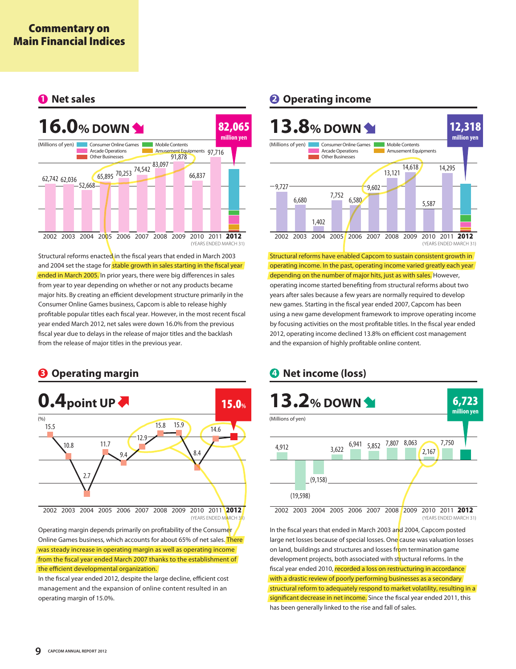![](_page_2_Figure_2.jpeg)

Structural reforms enacted in the fiscal years that ended in March 2003 and 2004 set the stage for stable growth in sales starting in the fiscal year ended in March 2005. In prior years, there were big differences in sales from year to year depending on whether or not any products became major hits. By creating an efficient development structure primarily in the Consumer Online Games business, Capcom is able to release highly profitable popular titles each fiscal year. However, in the most recent fiscal year ended March 2012, net sales were down 16.0% from the previous fiscal year due to delays in the release of major titles and the backlash from the release of major titles in the previous year.

![](_page_2_Figure_5.jpeg)

Operating margin depends primarily on profitability of the Consumer Online Games business, which accounts for about 65% of net sales. There was steady increase in operating margin as well as operating income from the fiscal year ended March 2007 thanks to the establishment of the efficient developmental organization.

In the fiscal year ended 2012, despite the large decline, efficient cost management and the expansion of online content resulted in an operating margin of 15.0%.

# **1 Net sales 2 Operating income**

![](_page_2_Figure_9.jpeg)

Structural reforms have enabled Capcom to sustain consistent growth in operating income. In the past, operating income varied greatly each year depending on the number of major hits, just as with sales. However, operating income started benefiting from structural reforms about two years after sales because a few years are normally required to develop new games. Starting in the fiscal year ended 2007, Capcom has been using a new game development framework to improve operating income by focusing activities on the most profitable titles. In the fiscal year ended 2012, operating income declined 13.8% on efficient cost management and the expansion of highly profitable online content.

# **3 Operating margin 1 C C Det income (loss)**

![](_page_2_Figure_12.jpeg)

In the fiscal years that ended in March 2003 and 2004, Capcom posted large net losses because of special losses. One cause was valuation losses on land, buildings and structures and losses from termination game development projects, both associated with structural reforms. In the fiscal year ended 2010, recorded a loss on restructuring in accordance with a drastic review of poorly performing businesses as a secondary structural reform to adequately respond to market volatility, resulting in a significant decrease in net income. Since the fiscal year ended 2011, this has been generally linked to the rise and fall of sales.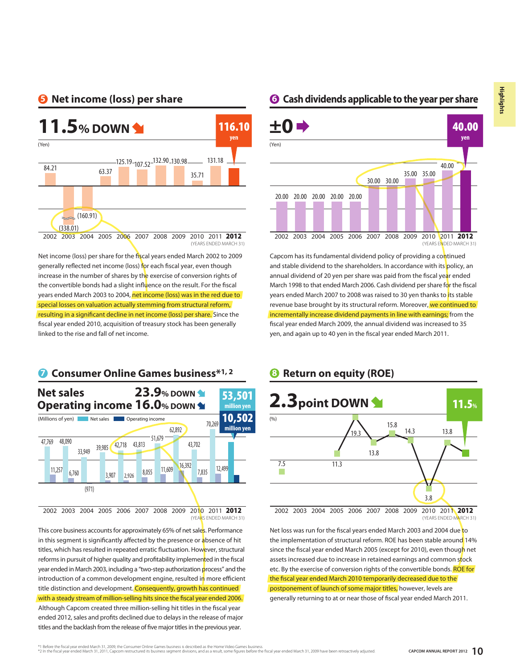![](_page_3_Figure_1.jpeg)

Net income (loss) per share for the fiscal years ended March 2002 to 2009 generally reflected net income (loss) for each fiscal year, even though increase in the number of shares by the exercise of conversion rights of the convertible bonds had a slight influence on the result. For the fiscal years ended March 2003 to 2004, net income (loss) was in the red due to special losses on valuation actually stemming from structural reform, resulting in a significant decline in net income (loss) per share. Since the fiscal year ended 2010, acquisition of treasury stock has been generally linked to the rise and fall of net income.

### (Millions of yen) Net sales **Operating income** 48,090 33,949 39,985 42,718 43,813 47,769 51,679 62,892 43,702 70,269  $11,257$  6.760 (971) 3,907 2,926 8,055 16,392 1 11,609 16,392 7,835 12,499 **Net sales 23.9% DOWN Operating income 16.0% DOWN 1 11.5 11.5 10,502 million yen 53,501 million yen Consumer Online Games business**<sup>\*1, 2</sup> **8 Return on equity (ROE)**

2002 2003 2004 2005 2006 2007 2008 2009 2010 2011 **2012** 10 (YEA<mark>R</mark>S ENDED MARCH 31)

This core business accounts for approximately 65% of net sales. Performance in this segment is significantly affected by the presence or absence of hit titles, which has resulted in repeated erratic fluctuation. However, structural reforms in pursuit of higher quality and profitability implemented in the fiscal year ended in March 2003, including a "two-step authorization process" and the introduction of a common development engine, resulted in more efficient title distinction and development. Consequently, growth has continued with a steady stream of million-selling hits since the fiscal year ended 2006. Although Capcom created three million-selling hit titles in the fiscal year ended 2012, sales and profits declined due to delays in the release of major titles and the backlash from the release of five major titles in the previous year.

# **6 Net income (loss) per share 6 6 Cash dividends applicable to the year per share**

![](_page_3_Figure_7.jpeg)

Capcom has its fundamental dividend policy of providing a continued and stable dividend to the shareholders. In accordance with its policy, an annual dividend of 20 yen per share was paid from the fiscal year ended March 1998 to that ended March 2006. Cash dividend per share for the fiscal years ended March 2007 to 2008 was raised to 30 yen thanks to its stable revenue base brought by its structural reform. Moreover, we continued to incrementally increase dividend payments in line with earnings; from the fiscal year ended March 2009, the annual dividend was increased to 35 yen, and again up to 40 yen in the fiscal year ended March 2011.

![](_page_3_Figure_10.jpeg)

2002 2003 2004 2005 2006 2007 2008 2009 2010 2011 **2012** 1 (YEARS ENDED MARCH 31)

Net loss was run for the fiscal years ended March 2003 and 2004 due to the implementation of structural reform. ROE has been stable around 14% since the fiscal year ended March 2005 (except for 2010), even though net assets increased due to increase in retained earnings and common stock etc. By the exercise of conversion rights of the convertible bonds. ROE for the fiscal year ended March 2010 temporarily decreased due to the postponement of launch of some major titles, however, levels are generally returning to at or near those of fiscal year ended March 2011.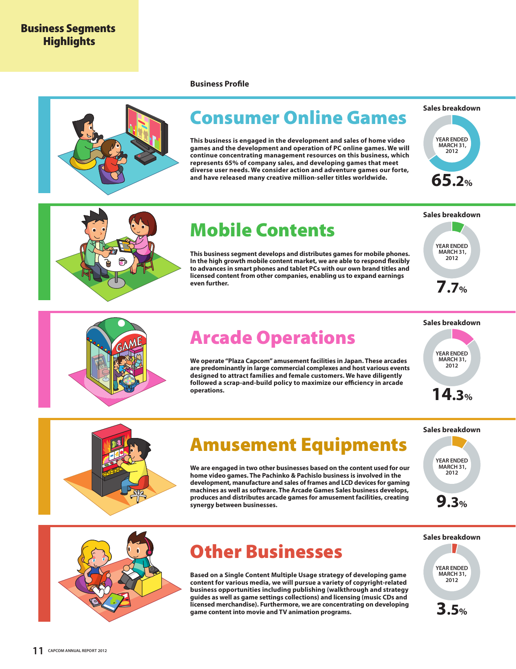# **Business Segments Highlights**

## **Business Profile**

![](_page_4_Picture_2.jpeg)

# **Consumer Online Games**

**This business is engaged in the development and sales of home video games and the development and operation of PC online games. We will continue concentrating management resources on this business, which represents 65% of company sales, and developing games that meet diverse user needs. We consider action and adventure games our forte, and have released many creative million-seller titles worldwide.**

![](_page_4_Figure_5.jpeg)

![](_page_4_Picture_6.jpeg)

# **Mobile Contents**

**This business segment develops and distributes games for mobile phones. In the high growth mobile content market, we are able to respond flexibly to advances in smart phones and tablet PCs with our own brand titles and licensed content from other companies, enabling us to expand earnings even further.**

![](_page_4_Figure_9.jpeg)

![](_page_4_Picture_10.jpeg)

# **Arcade Operations**

**We operate "Plaza Capcom" amusement facilities in Japan. These arcades are predominantly in large commercial complexes and host various events designed to attract families and female customers. We have diligently followed a scrap-and-build policy to maximize our efficiency in arcade operations.**

**Sales breakdown**

![](_page_4_Figure_14.jpeg)

![](_page_4_Picture_15.jpeg)

# **Amusement Equipments**

**We are engaged in two other businesses based on the content used for our home video games. The Pachinko & Pachislo business is involved in the development, manufacture and sales of frames and LCD devices for gaming machines as well as software. The Arcade Games Sales business develops, produces and distributes arcade games for amusement facilities, creating synergy between businesses.**

![](_page_4_Figure_18.jpeg)

![](_page_4_Picture_19.jpeg)

# **Other Businesses**

**Based on a Single Content Multiple Usage strategy of developing game content for various media, we will pursue a variety of copyright-related business opportunities including publishing (walkthrough and strategy guides as well as game settings collections) and licensing (music CDs and licensed merchandise). Furthermore, we are concentrating on developing game content into movie and TV animation programs.**

![](_page_4_Figure_22.jpeg)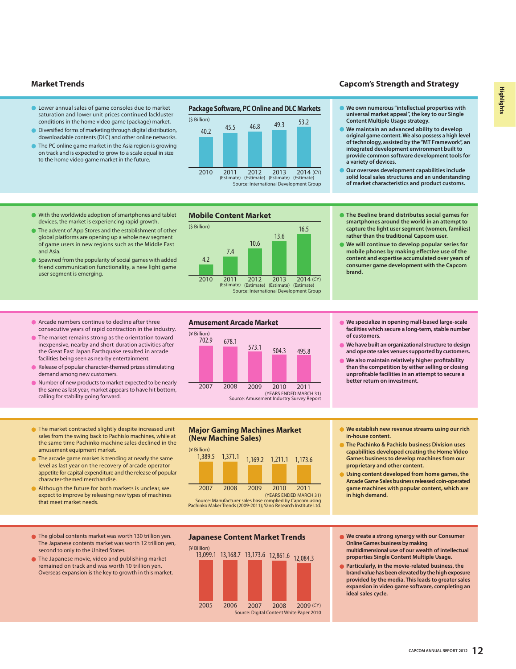- Lower annual sales of game consoles due to market saturation and lower unit prices continued lackluster conditions in the home video game (package) market.
- Diversified forms of marketing through digital distribution, downloadable contents (DLC) and other online networks.
- The PC online game market in the Asia region is growing on track and is expected to grow to a scale equal in size to the home video game market in the future.

![](_page_5_Figure_4.jpeg)

### **Market Trends Capcom's Strength and Strategy**

- **We own numerous "intellectual properties with universal market appeal", the key to our Single Content Multiple Usage strategy.**
- **We maintain an advanced ability to develop original game content. We also possess a high level of technology, assisted by the "MT Framework", an integrated development environment built to provide common software development tools for a variety of devices.**
- **Our overseas development capabilities include solid local sales structures and an understanding of market characteristics and product customs.**

- With the worldwide adoption of smartphones and tablet devices, the market is experiencing rapid growth.
- The advent of App Stores and the establishment of other global platforms are opening up a whole new segment of game users in new regions such as the Middle East and Asia.
- Spawned from the popularity of social games with added friend communication functionality, a new light game user segment is emerging.

![](_page_5_Figure_12.jpeg)

- **The Beeline brand distributes social games for smartphones around the world in an attempt to capture the light user segment (women, families) rather than the traditional Capcom user.**
- **We will continue to develop popular series for mobile phones by making effective use of the content and expertise accumulated over years of consumer game development with the Capcom brand.**

- Arcade numbers continue to decline after three consecutive years of rapid contraction in the industry.
- The market remains strong as the orientation toward inexpensive, nearby and short-duration activities after the Great East Japan Earthquake resulted in arcade facilities being seen as nearby entertainment.
- Release of popular character-themed prizes stimulating demand among new customers.
- Number of new products to market expected to be nearly the same as last year, market appears to have hit bottom, calling for stability going forward.
- The market contracted slightly despite increased unit sales from the swing back to Pachislo machines, while at the same time Pachinko machine sales declined in the amusement equipment market.
- The arcade game market is trending at nearly the same level as last year on the recovery of arcade operator appetite for capital expenditure and the release of popular character-themed merchandise.
- Although the future for both markets is unclear, we expect to improve by releasing new types of machines that meet market needs.

## $573.1$   $504.3$ 702.9 678.1 2007 2008 2009 2010 495.8 (YEARS ENDED MARCH 31) Source: Amusement Industry Survey Report 2011

**Major Gaming Machines Market**

1,389.5 1,371.1 1,169.2 1,211.1

1,173.6

2011

(YEARS ENDED MARCH 31)

2007 2008 2009 2010

Source: Manufacturer sales base complied by Capcom using Pachinko Maker Trends (2009-2011); Yano Research Institute Ltd.

**(New Machine Sales)**

**Amusement Arcade Market**

(¥ Billion)

(¥ Billion)

- **We specialize in opening mall-based large-scale facilities which secure a long-term, stable number of customers.**
- **We have built an organizational structure to design and operate sales venues supported by customers.**
- **We also maintain relatively higher profitability than the competition by either selling or closing unprofitable facilities in an attempt to secure a better return on investment.**
- **We establish new revenue streams using our rich in-house content.**
- **The Pachinko & Pachislo business Division uses capabilities developed creating the Home Video Games business to develop machines from our proprietary and other content.**
- **Using content developed from home games, the Arcade Game Sales business released coin-operated game machines with popular content, which are in high demand.**

- The global contents market was worth 130 trillion yen. The Japanese contents market was worth 12 trillion yen, second to only to the United States.
- **The Japanese movie, video and publishing market** remained on track and was worth 10 trillion yen. Overseas expansion is the key to growth in this market.

![](_page_5_Figure_31.jpeg)

- **We create a strong synergy with our Consumer Online Games business by making multidimensional use of our wealth of intellectual properties Single Content Multiple Usage.**
- **Particularly, in the movie-related business, the brand value has been elevated by the high exposure provided by the media. This leads to greater sales expansion in video game software, completing an ideal sales cycle.**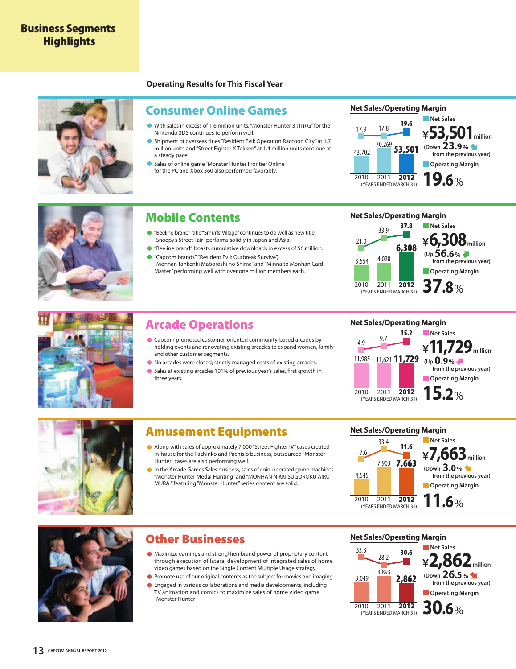# **Business Segments Highlights**

## **Operating Results for This Fiscal Year**

![](_page_6_Picture_2.jpeg)

# **Consumer Online Games**

- With sales in excess of 1.6 million units, "Monster Hunter 3 (Tri) G" for the Nintendo 3DS continues to perform well.
- Shipment of overseas titles "Resident Evil: Operation Raccoon City" at 1.7 million units and "Street Fighter X Tekken" at 1.4 million units continue at a steady pace.
- Sales of online game "Monster Hunter Frontier Online" for the PC and Xbox 360 also performed favorably.

![](_page_6_Figure_7.jpeg)

![](_page_6_Figure_8.jpeg)

- "Beeline brand" title "Smurfs' Village" continues to do well as new title  $\bullet$ "Snoopy's Street Fair" performs solidly in Japan and Asia.
- "Beeline brand" boasts cumulative downloads in excess of 56 million. "Capcom brands" "Resident Evil: Outbreak Survive",  $\bullet$
- "Monhan Tankenki Maboroshi no Shima" and "Minna to Monhan Card Master" performing well with over one million members each.

![](_page_6_Figure_13.jpeg)

# **Arcade Operations**

- Capcom promoted customer-oriented community-based arcades by holding events and renovating existing arcades to expand women, family and other customer segments.
- No arcades were closed; strictly managed costs of existing arcades.
- Sales at existing arcades 101% of previous year's sales, first growth in three years.

![](_page_6_Picture_19.jpeg)

![](_page_6_Figure_20.jpeg)

![](_page_6_Picture_21.jpeg)

# **Amusement Equipments**

- Along with sales of approximately 7,000 "Street Fighter IV" cases created in-house for the Pachinko and Pachislo business, outsourced "Monster Hunter" cases are also performing well.
- In the Arcade Games Sales business, sales of coin-operated game machines "Monster Hunter Medal Hunting" and "MONHAN NIKKI SUGOROKU AIRU MURA " featuring "Monster Hunter" series content are solid.

![](_page_6_Figure_25.jpeg)

![](_page_6_Picture_26.jpeg)

# **Other Businesses**

- Maximize earnings and strengthen brand power of proprietary content through execution of lateral development of integrated sales of home video games based on the Single Content Multiple Usage strategy.
- **•** Promote use of our original contents as the subject for movies and imaging.
- Engaged in various collaborations and media developments, including TV animation and comics to maximize sales of home video game "Monster Hunter".

![](_page_6_Figure_31.jpeg)

![](_page_6_Figure_32.jpeg)